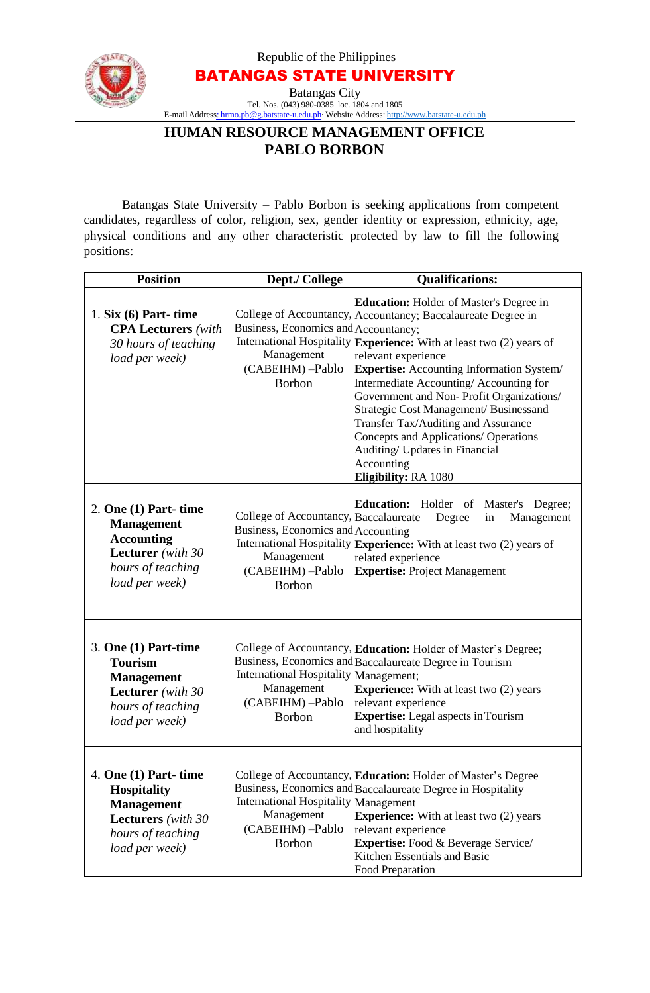Republic of the Philippines



BATANGAS STATE UNIVERSITY Batangas City Tel. Nos. (043) 980-0385 loc. 1804 and 1805

E-mail Address: [hrmo.pb@g.batstate-u.edu.ph∙](mailto:hrmo.pb@g.batstate-u.edu.ph) Website Address: [http://www.batstate-u.edu.ph](http://www.batstate-u.edu.ph/)

# **HUMAN RESOURCE MANAGEMENT OFFICE PABLO BORBON**

Batangas State University – Pablo Borbon is seeking applications from competent candidates, regardless of color, religion, sex, gender identity or expression, ethnicity, age, physical conditions and any other characteristic protected by law to fill the following positions:

| <b>Position</b>                                                                                                                       | Dept./ College                                                                                                                 | <b>Qualifications:</b>                                                                                                                                                                                                                                                                                                                                                                                                                                                                                                                                    |
|---------------------------------------------------------------------------------------------------------------------------------------|--------------------------------------------------------------------------------------------------------------------------------|-----------------------------------------------------------------------------------------------------------------------------------------------------------------------------------------------------------------------------------------------------------------------------------------------------------------------------------------------------------------------------------------------------------------------------------------------------------------------------------------------------------------------------------------------------------|
| 1. Six $(6)$ Part-time<br><b>CPA Lecturers</b> (with<br>30 hours of teaching<br>load per week)                                        | Business, Economics and Accountancy;<br>Management<br>(CABEIHM) -Pablo<br><b>Borbon</b>                                        | <b>Education:</b> Holder of Master's Degree in<br>College of Accountancy, Accountancy; Baccalaureate Degree in<br>International Hospitality Experience: With at least two (2) years of<br>relevant experience<br><b>Expertise:</b> Accounting Information System/<br>Intermediate Accounting/Accounting for<br>Government and Non-Profit Organizations/<br>Strategic Cost Management/ Businessand<br>Transfer Tax/Auditing and Assurance<br>Concepts and Applications/ Operations<br>Auditing/ Updates in Financial<br>Accounting<br>Eligibility: RA 1080 |
| $2.$ One $(1)$ Part- time<br><b>Management</b><br><b>Accounting</b><br>Lecturer (with 30<br>hours of teaching<br>load per week)       | College of Accountancy, Baccalaureate<br>Business, Economics and Accounting<br>Management<br>(CABEIHM) -Pablo<br><b>Borbon</b> | Education: Holder of Master's<br>Degree;<br>Degree<br>Management<br>in<br>International Hospitality Experience: With at least two (2) years of<br>related experience<br><b>Expertise: Project Management</b>                                                                                                                                                                                                                                                                                                                                              |
| $3.$ One $(1)$ Part-time<br><b>Tourism</b><br><b>Management</b><br>Lecturer (with 30<br>hours of teaching<br>load per week)           | International Hospitality Management;<br>Management<br>(CABEIHM) -Pablo<br>Borbon                                              | College of Accountancy, Education: Holder of Master's Degree;<br>Business, Economics and Baccalaureate Degree in Tourism<br><b>Experience:</b> With at least two (2) years<br>relevant experience<br><b>Expertise:</b> Legal aspects in Tourism<br>and hospitality                                                                                                                                                                                                                                                                                        |
| 4. One $(1)$ Part-time<br><b>Hospitality</b><br><b>Management</b><br><b>Lecturers</b> (with 30<br>hours of teaching<br>load per week) | International Hospitality Management<br>Management<br>(CABEIHM) -Pablo<br>Borbon                                               | College of Accountancy, Education: Holder of Master's Degree<br>Business, Economics and Baccalaureate Degree in Hospitality<br><b>Experience:</b> With at least two (2) years<br>relevant experience<br><b>Expertise:</b> Food & Beverage Service/<br>Kitchen Essentials and Basic<br><b>Food Preparation</b>                                                                                                                                                                                                                                             |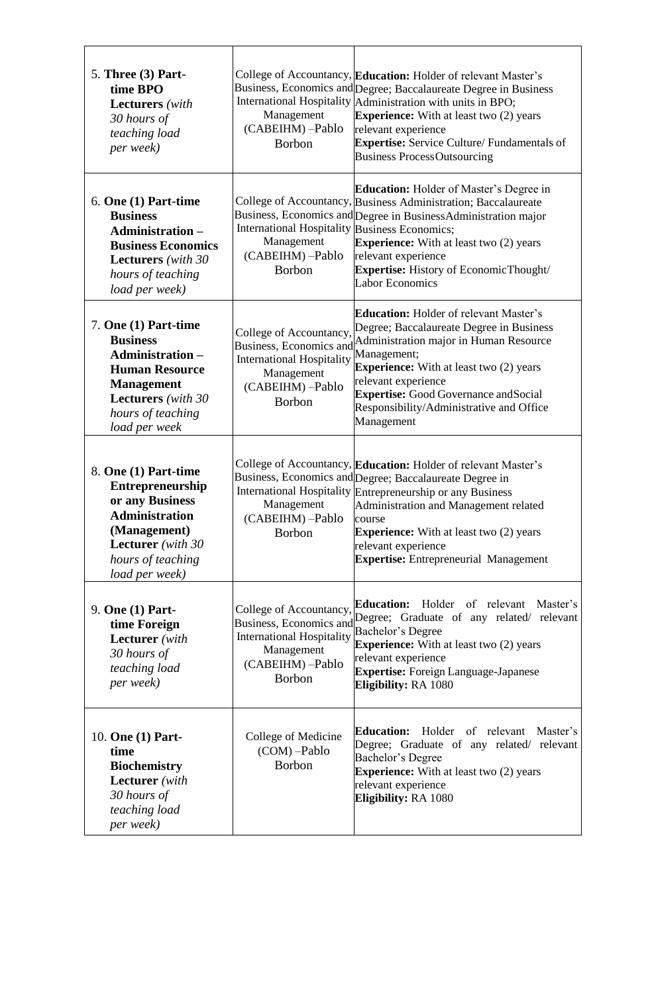| 5. Three (3) Part-<br>time BPO<br><b>Lecturers</b> (with<br>30 hours of<br>teaching load<br>per week)                                                                               | Management<br>(CABEIHM) -Pablo<br>Borbon                                                                                                  | College of Accountancy, Education: Holder of relevant Master's<br>Business, Economics and Degree; Baccalaureate Degree in Business<br>International Hospitality Administration with units in BPO;<br><b>Experience:</b> With at least two (2) years<br>relevant experience<br><b>Expertise:</b> Service Culture/ Fundamentals of<br><b>Business ProcessOutsourcing</b> |
|-------------------------------------------------------------------------------------------------------------------------------------------------------------------------------------|-------------------------------------------------------------------------------------------------------------------------------------------|------------------------------------------------------------------------------------------------------------------------------------------------------------------------------------------------------------------------------------------------------------------------------------------------------------------------------------------------------------------------|
| $6.$ One $(1)$ Part-time<br><b>Business</b><br>Administration-<br><b>Business Economics</b><br><b>Lecturers</b> (with 30<br>hours of teaching<br>load per week)                     | <b>International Hospitality Business Economics;</b><br>Management<br>(CABEIHM)-Pablo<br><b>Borbon</b>                                    | <b>Education:</b> Holder of Master's Degree in<br>College of Accountancy, Business Administration; Baccalaureate<br>Business, Economics and Degree in Business Administration major<br><b>Experience:</b> With at least two (2) years<br>relevant experience<br>Expertise: History of EconomicThought/<br><b>Labor Economics</b>                                       |
| 7. One (1) Part-time<br><b>Business</b><br><b>Administration -</b><br><b>Human Resource</b><br><b>Management</b><br><b>Lecturers</b> (with 30<br>hours of teaching<br>load per week | College of Accountancy,<br><b>Business, Economics and</b><br><b>International Hospitality</b><br>Management<br>(CABEIHM) -Pablo<br>Borbon | <b>Education:</b> Holder of relevant Master's<br>Degree; Baccalaureate Degree in Business<br>Administration major in Human Resource<br>Management;<br><b>Experience:</b> With at least two (2) years<br>relevant experience<br><b>Expertise:</b> Good Governance and Social<br>Responsibility/Administrative and Office<br>Management                                  |
| 8. One (1) Part-time<br><b>Entrepreneurship</b><br>or any Business<br><b>Administration</b><br>(Management)<br><b>Lecturer</b> (with 30<br>hours of teaching<br>load per week)      | Management<br>(CABEIHM) -Pablo<br><b>Borbon</b>                                                                                           | College of Accountancy, Education: Holder of relevant Master's<br>Business, Economics and Degree; Baccalaureate Degree in<br>International Hospitality Entrepreneurship or any Business<br>Administration and Management related<br>course<br><b>Experience:</b> With at least two (2) years<br>relevant experience<br><b>Expertise:</b> Entrepreneurial Management    |
| 9. One (1) Part-<br>time Foreign<br><b>Lecturer</b> (with<br>30 hours of<br>teaching load<br>per week)                                                                              | College of Accountancy,<br>Business, Economics and<br><b>International Hospitality</b><br>Management<br>(CABEIHM) -Pablo<br><b>Borbon</b> | Holder of relevant<br><b>Education:</b><br>Master's<br>Degree; Graduate of any related/ relevant<br><b>Bachelor's Degree</b><br><b>Experience:</b> With at least two (2) years<br>relevant experience<br><b>Expertise:</b> Foreign Language-Japanese<br>Eligibility: RA 1080                                                                                           |
| 10. One (1) Part-<br>time<br><b>Biochemistry</b><br><b>Lecturer</b> (with<br>30 hours of<br>teaching load<br>per week)                                                              | College of Medicine<br>(COM) -Pablo<br><b>Borbon</b>                                                                                      | <b>Education:</b><br>Holder of relevant<br>Master's<br>Degree; Graduate of any related/ relevant<br><b>Bachelor's Degree</b><br><b>Experience:</b> With at least two (2) years<br>relevant experience<br>Eligibility: RA 1080                                                                                                                                          |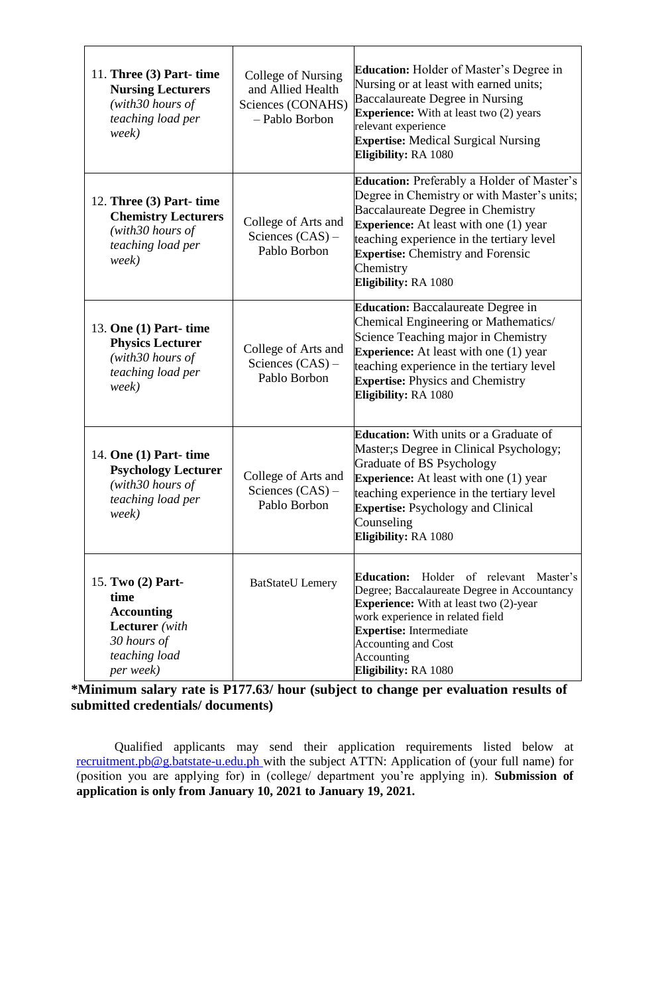| 11. Three $(3)$ Part-time<br><b>Nursing Lecturers</b><br>(with 30 hours of<br>teaching load per<br>week)             | College of Nursing<br>and Allied Health<br>Sciences (CONAHS)<br>- Pablo Borbon | <b>Education:</b> Holder of Master's Degree in<br>Nursing or at least with earned units;<br>Baccalaureate Degree in Nursing<br><b>Experience:</b> With at least two (2) years<br>relevant experience<br><b>Expertise:</b> Medical Surgical Nursing<br>Eligibility: RA 1080                                    |
|----------------------------------------------------------------------------------------------------------------------|--------------------------------------------------------------------------------|---------------------------------------------------------------------------------------------------------------------------------------------------------------------------------------------------------------------------------------------------------------------------------------------------------------|
| 12. Three (3) Part- time<br><b>Chemistry Lecturers</b><br>(with30 hours of<br>teaching load per<br>week)             | College of Arts and<br>Sciences $(CAS)$ –<br>Pablo Borbon                      | Education: Preferably a Holder of Master's<br>Degree in Chemistry or with Master's units;<br>Baccalaureate Degree in Chemistry<br><b>Experience:</b> At least with one (1) year<br>teaching experience in the tertiary level<br><b>Expertise:</b> Chemistry and Forensic<br>Chemistry<br>Eligibility: RA 1080 |
| 13. One (1) Part- time<br><b>Physics Lecturer</b><br>(with30 hours of<br>teaching load per<br>week)                  | College of Arts and<br>Sciences $(CAS)$ –<br>Pablo Borbon                      | <b>Education:</b> Baccalaureate Degree in<br>Chemical Engineering or Mathematics/<br>Science Teaching major in Chemistry<br><b>Experience:</b> At least with one (1) year<br>teaching experience in the tertiary level<br><b>Expertise: Physics and Chemistry</b><br>Eligibility: RA 1080                     |
| 14. One (1) Part- time<br><b>Psychology Lecturer</b><br>(with30 hours of<br>teaching load per<br>week)               | College of Arts and<br>Sciences $(CAS)$ –<br>Pablo Borbon                      | <b>Education:</b> With units or a Graduate of<br>Master; SDegree in Clinical Psychology;<br>Graduate of BS Psychology<br><b>Experience:</b> At least with one (1) year<br>teaching experience in the tertiary level<br><b>Expertise:</b> Psychology and Clinical<br>Counseling<br>Eligibility: RA 1080        |
| 15. Two (2) Part-<br>time<br><b>Accounting</b><br><b>Lecturer</b> (with<br>30 hours of<br>teaching load<br>per week) | <b>BatStateU</b> Lemery                                                        | <b>Education:</b><br>Holder of relevant Master's<br>Degree; Baccalaureate Degree in Accountancy<br><b>Experience:</b> With at least two (2)-year<br>work experience in related field<br><b>Expertise:</b> Intermediate<br><b>Accounting and Cost</b><br>Accounting<br>Eligibility: RA 1080                    |

 $\overline{\mathsf{T}}$ 

 $\Gamma$ 

 $\overline{\phantom{a}}$ 

## **\*Minimum salary rate is P177.63/ hour (subject to change per evaluation results of submitted credentials/ documents)**

Qualified applicants may send their application requirements listed below at [recruitment.pb@g.batstate-u.edu.ph w](mailto:recruitment.pb@g.batstate-u.edu.ph)ith the subject ATTN: Application of (your full name) for (position you are applying for) in (college/ department you're applying in). **Submission of application is only from January 10, 2021 to January 19, 2021.**